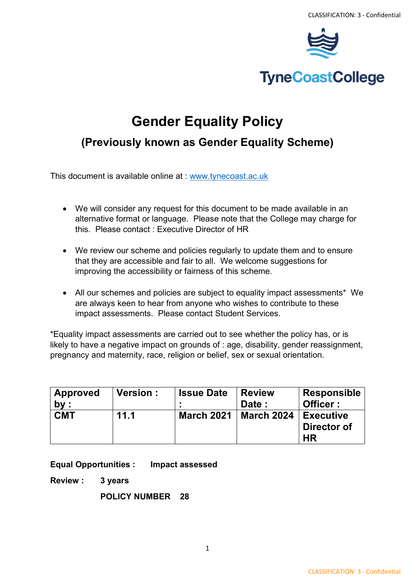

# **TyneCoastCollege**

# **Gender Equality Policy**

# **(Previously known as Gender Equality Scheme)**

This document is available online at : [www.tynecoast.ac.uk](http://www.tynecoast.ac.uk/)

- We will consider any request for this document to be made available in an alternative format or language. Please note that the College may charge for this. Please contact : Executive Director of HR
- We review our scheme and policies regularly to update them and to ensure that they are accessible and fair to all. We welcome suggestions for improving the accessibility or fairness of this scheme.
- All our schemes and policies are subject to equality impact assessments\* We are always keen to hear from anyone who wishes to contribute to these impact assessments. Please contact Student Services.

\*Equality impact assessments are carried out to see whether the policy has, or is likely to have a negative impact on grounds of : age, disability, gender reassignment, pregnancy and maternity, race, religion or belief, sex or sexual orientation.

| <b>Approved</b><br>by: | <b>Version:</b> | <b>Issue Date</b> | <b>Review</b><br>Date: | <b>Responsible</b><br>Officer:        |
|------------------------|-----------------|-------------------|------------------------|---------------------------------------|
| <b>CMT</b>             | 11.1            | <b>March 2021</b> | March 2024             | <b>Executive</b><br>Director of<br>HR |

**Equal Opportunities : Impact assessed**

**Review : 3 years**

**POLICY NUMBER 28**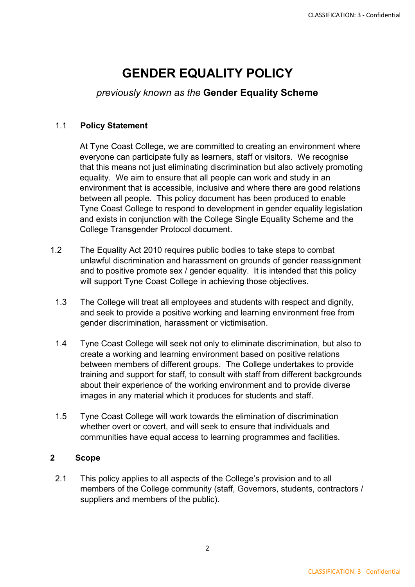# **GENDER EQUALITY POLICY**

# *previously known as the* **Gender Equality Scheme**

## 1.1 **Policy Statement**

At Tyne Coast College, we are committed to creating an environment where everyone can participate fully as learners, staff or visitors. We recognise that this means not just eliminating discrimination but also actively promoting equality. We aim to ensure that all people can work and study in an environment that is accessible, inclusive and where there are good relations between all people. This policy document has been produced to enable Tyne Coast College to respond to development in gender equality legislation and exists in conjunction with the College Single Equality Scheme and the College Transgender Protocol document.

- 1.2 The Equality Act 2010 requires public bodies to take steps to combat unlawful discrimination and harassment on grounds of gender reassignment and to positive promote sex / gender equality. It is intended that this policy will support Tyne Coast College in achieving those objectives.
	- 1.3 The College will treat all employees and students with respect and dignity, and seek to provide a positive working and learning environment free from gender discrimination, harassment or victimisation.
	- 1.4 Tyne Coast College will seek not only to eliminate discrimination, but also to create a working and learning environment based on positive relations between members of different groups. The College undertakes to provide training and support for staff, to consult with staff from different backgrounds about their experience of the working environment and to provide diverse images in any material which it produces for students and staff.
	- 1.5 Tyne Coast College will work towards the elimination of discrimination whether overt or covert, and will seek to ensure that individuals and communities have equal access to learning programmes and facilities.

## **2 Scope**

2.1 This policy applies to all aspects of the College's provision and to all members of the College community (staff, Governors, students, contractors / suppliers and members of the public).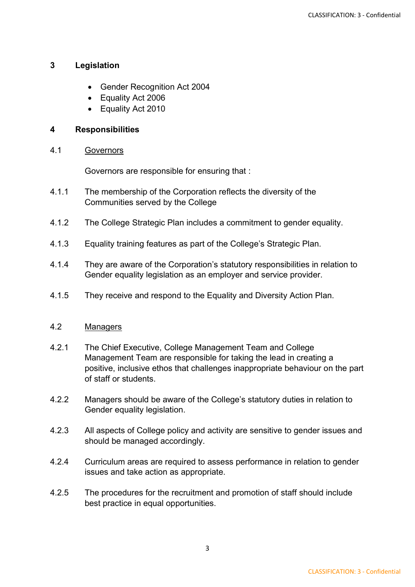### **3 Legislation**

- Gender Recognition Act 2004
- Equality Act 2006
- Equality Act 2010

#### **4 Responsibilities**

#### 4.1 Governors

Governors are responsible for ensuring that :

- 4.1.1 The membership of the Corporation reflects the diversity of the Communities served by the College
- 4.1.2 The College Strategic Plan includes a commitment to gender equality.
- 4.1.3 Equality training features as part of the College's Strategic Plan.
- 4.1.4 They are aware of the Corporation's statutory responsibilities in relation to Gender equality legislation as an employer and service provider.
- 4.1.5 They receive and respond to the Equality and Diversity Action Plan.

#### 4.2 Managers

- 4.2.1 The Chief Executive, College Management Team and College Management Team are responsible for taking the lead in creating a positive, inclusive ethos that challenges inappropriate behaviour on the part of staff or students.
- 4.2.2 Managers should be aware of the College's statutory duties in relation to Gender equality legislation.
- 4.2.3 All aspects of College policy and activity are sensitive to gender issues and should be managed accordingly.
- 4.2.4 Curriculum areas are required to assess performance in relation to gender issues and take action as appropriate.
- 4.2.5 The procedures for the recruitment and promotion of staff should include best practice in equal opportunities.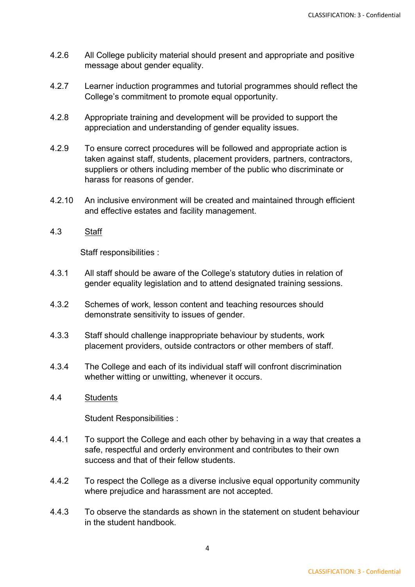- 4.2.6 All College publicity material should present and appropriate and positive message about gender equality.
- 4.2.7 Learner induction programmes and tutorial programmes should reflect the College's commitment to promote equal opportunity.
- 4.2.8 Appropriate training and development will be provided to support the appreciation and understanding of gender equality issues.
- 4.2.9 To ensure correct procedures will be followed and appropriate action is taken against staff, students, placement providers, partners, contractors, suppliers or others including member of the public who discriminate or harass for reasons of gender.
- 4.2.10 An inclusive environment will be created and maintained through efficient and effective estates and facility management.
- 4.3 Staff

Staff responsibilities :

- 4.3.1 All staff should be aware of the College's statutory duties in relation of gender equality legislation and to attend designated training sessions.
- 4.3.2 Schemes of work, lesson content and teaching resources should demonstrate sensitivity to issues of gender.
- 4.3.3 Staff should challenge inappropriate behaviour by students, work placement providers, outside contractors or other members of staff.
- 4.3.4 The College and each of its individual staff will confront discrimination whether witting or unwitting, whenever it occurs.

#### 4.4 Students

Student Responsibilities :

- 4.4.1 To support the College and each other by behaving in a way that creates a safe, respectful and orderly environment and contributes to their own success and that of their fellow students.
- 4.4.2 To respect the College as a diverse inclusive equal opportunity community where prejudice and harassment are not accepted.
- 4.4.3 To observe the standards as shown in the statement on student behaviour in the student handbook.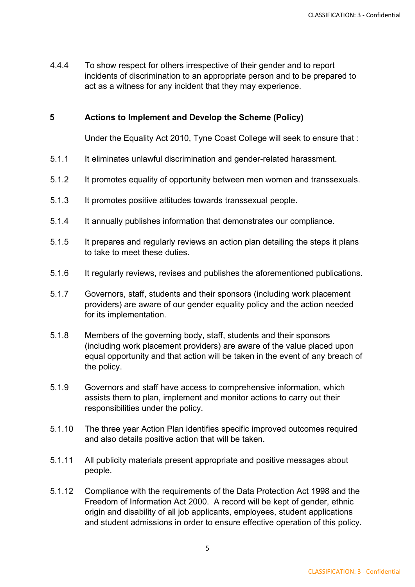4.4.4 To show respect for others irrespective of their gender and to report incidents of discrimination to an appropriate person and to be prepared to act as a witness for any incident that they may experience.

#### **5 Actions to Implement and Develop the Scheme (Policy)**

Under the Equality Act 2010, Tyne Coast College will seek to ensure that :

- 5.1.1 It eliminates unlawful discrimination and gender-related harassment.
- 5.1.2 It promotes equality of opportunity between men women and transsexuals.
- 5.1.3 It promotes positive attitudes towards transsexual people.
- 5.1.4 It annually publishes information that demonstrates our compliance.
- 5.1.5 It prepares and regularly reviews an action plan detailing the steps it plans to take to meet these duties.
- 5.1.6 It regularly reviews, revises and publishes the aforementioned publications.
- 5.1.7 Governors, staff, students and their sponsors (including work placement providers) are aware of our gender equality policy and the action needed for its implementation.
- 5.1.8 Members of the governing body, staff, students and their sponsors (including work placement providers) are aware of the value placed upon equal opportunity and that action will be taken in the event of any breach of the policy.
- 5.1.9 Governors and staff have access to comprehensive information, which assists them to plan, implement and monitor actions to carry out their responsibilities under the policy.
- 5.1.10 The three year Action Plan identifies specific improved outcomes required and also details positive action that will be taken.
- 5.1.11 All publicity materials present appropriate and positive messages about people.
- 5.1.12 Compliance with the requirements of the Data Protection Act 1998 and the Freedom of Information Act 2000. A record will be kept of gender, ethnic origin and disability of all job applicants, employees, student applications and student admissions in order to ensure effective operation of this policy.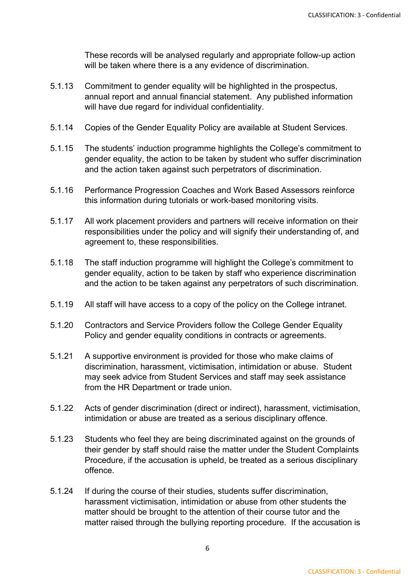These records will be analysed regularly and appropriate follow-up action will be taken where there is a any evidence of discrimination.

- 5.1.13 Commitment to gender equality will be highlighted in the prospectus, annual report and annual financial statement. Any published information will have due regard for individual confidentiality.
- 5.1.14 Copies of the Gender Equality Policy are available at Student Services.
- 5.1.15 The students' induction programme highlights the College's commitment to gender equality, the action to be taken by student who suffer discrimination and the action taken against such perpetrators of discrimination.
- 5.1.16 Performance Progression Coaches and Work Based Assessors reinforce this information during tutorials or work-based monitoring visits.
- 5.1.17 All work placement providers and partners will receive information on their responsibilities under the policy and will signify their understanding of, and agreement to, these responsibilities.
- 5.1.18 The staff induction programme will highlight the College's commitment to gender equality, action to be taken by staff who experience discrimination and the action to be taken against any perpetrators of such discrimination.
- 5.1.19 All staff will have access to a copy of the policy on the College intranet.
- 5.1.20 Contractors and Service Providers follow the College Gender Equality Policy and gender equality conditions in contracts or agreements.
- 5.1.21 A supportive environment is provided for those who make claims of discrimination, harassment, victimisation, intimidation or abuse. Student may seek advice from Student Services and staff may seek assistance from the HR Department or trade union.
- 5.1.22 Acts of gender discrimination (direct or indirect), harassment, victimisation, intimidation or abuse are treated as a serious disciplinary offence.
- 5.1.23 Students who feel they are being discriminated against on the grounds of their gender by staff should raise the matter under the Student Complaints Procedure, if the accusation is upheld, be treated as a serious disciplinary offence.
- 5.1.24 If during the course of their studies, students suffer discrimination, harassment victimisation, intimidation or abuse from other students the matter should be brought to the attention of their course tutor and the matter raised through the bullying reporting procedure. If the accusation is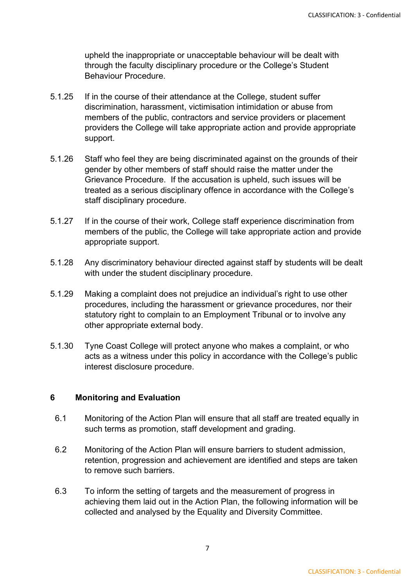upheld the inappropriate or unacceptable behaviour will be dealt with through the faculty disciplinary procedure or the College's Student Behaviour Procedure.

- 5.1.25 If in the course of their attendance at the College, student suffer discrimination, harassment, victimisation intimidation or abuse from members of the public, contractors and service providers or placement providers the College will take appropriate action and provide appropriate support.
- 5.1.26 Staff who feel they are being discriminated against on the grounds of their gender by other members of staff should raise the matter under the Grievance Procedure. If the accusation is upheld, such issues will be treated as a serious disciplinary offence in accordance with the College's staff disciplinary procedure.
- 5.1.27 If in the course of their work, College staff experience discrimination from members of the public, the College will take appropriate action and provide appropriate support.
- 5.1.28 Any discriminatory behaviour directed against staff by students will be dealt with under the student disciplinary procedure.
- 5.1.29 Making a complaint does not prejudice an individual's right to use other procedures, including the harassment or grievance procedures, nor their statutory right to complain to an Employment Tribunal or to involve any other appropriate external body.
- 5.1.30 Tyne Coast College will protect anyone who makes a complaint, or who acts as a witness under this policy in accordance with the College's public interest disclosure procedure.

### **6 Monitoring and Evaluation**

- 6.1 Monitoring of the Action Plan will ensure that all staff are treated equally in such terms as promotion, staff development and grading.
- 6.2 Monitoring of the Action Plan will ensure barriers to student admission, retention, progression and achievement are identified and steps are taken to remove such barriers.
- 6.3 To inform the setting of targets and the measurement of progress in achieving them laid out in the Action Plan, the following information will be collected and analysed by the Equality and Diversity Committee.